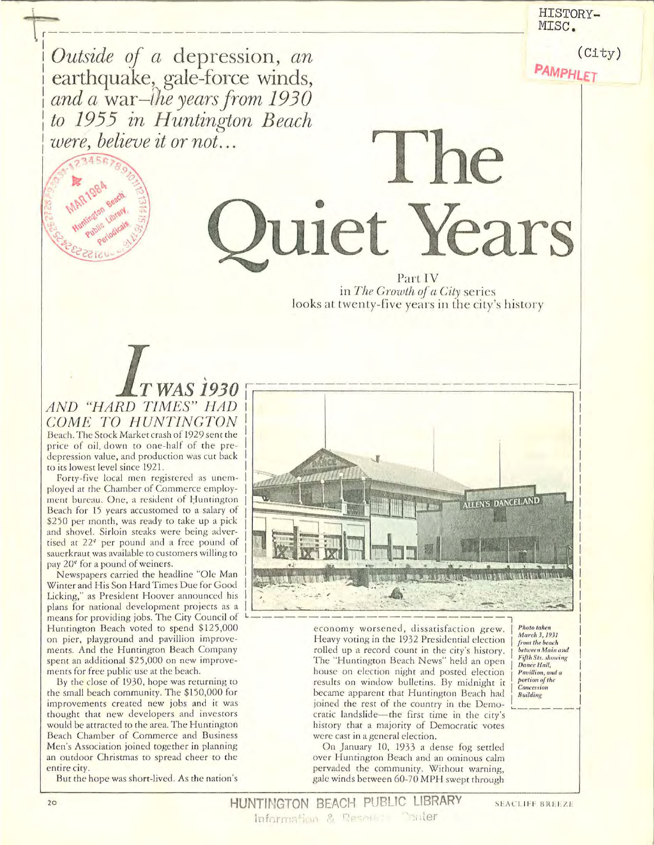HISTORY-MISC.

**PAMPHLET** 

 $(City)$ 

Outside of a depression, an<br>earthquake, gale-force winds,<br>and a war-lhe years from 1930<br>to 1955 in Huntington Beach were, believe it or not...



Part IV in The Growth of a City series looks at twenty-five years in the city's history

uiet Years

The

**WAS1930** AND "HARD TIMES" HAD COME TO HUNTINGTON Beach. The Stock Market crash of 1929 sent the price of oil down to one-half of the predepression value, and production was cut back to its lowest level since 1921.

Forty-five local men registered as unemployed at the Chamber of Commerce employment bureau. One, a resident of Huntington Beach for 15 years accustomed to a salary of \$250 per month, was ready to take up a pick and shovel. Sirloin steaks were being advertised at 22<sup>¢</sup> per pound and a free pound of sauerkraut was available to customers willing to pay 20<sup>e</sup> for a pound of weiners.

Newspapers carried the headline "Ole Man Winter and His Son Hard Times Due for Good Licking," as President Hoover announced his plans for national development projects as a means for providing jobs. The City Council of Huntington Beach voted to spend \$125,000 on pier, playground and pavillion improvements. And the Huntington Beach Company spent an additional \$25,000 on new improvements for free public use at the beach.

By the close of 1930, hope was returning to the small beach community. The \$150,000 for improvements created new jobs and it was thought that new developers and investors would be attracted to the area. The Huntington Beach Chamber of Commerce and Business Men's Association joined together in planning an outdoor Christmas to spread cheer to the entire city.

But the hope was short-lived. As the nation's



economy worsened, dissatisfaction grew. Heavy voting in the 1932 Presidential election rolled up a record count in the city's history. The "Huntington Beach News" held an open house on election night and posted election results on window bulletins. By midnight it became apparent that Huntington Beach had joined the rest of the country in the Democratic landslide-the first time in the city's history that a majority of Democratic votes were cast in a general election.

On January 10, 1933 a dense fog settled over Huntington Beach and an ominous calm pervaded the community. Without warning, gale winds between 60-70 MPH swept through

**Photo taken** March 3, 1931 from the beach between Main and<br>Fifth Sts. showing Dance Hall, Pavillion, and a<br>portion of the Concession **Building** 

HUNTINGTON BEACH PUBLIC LIBRARY Information & Resource Conter

**SEACLIFF BREEZE**